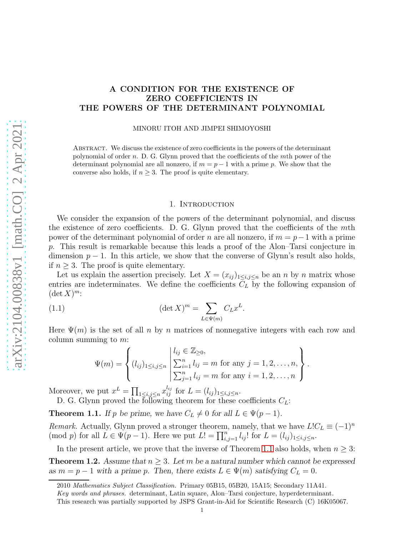# A CONDITION FOR THE EXISTENCE OF ZERO COEFFICIENTS IN THE POWERS OF THE DETERMINANT POLYNOMIAL

#### MINORU ITOH AND JIMPEI SHIMOYOSHI

Abstract. We discuss the existence of zero coefficients in the powers of the determinant polynomial of order n. D. G. Glynn proved that the coefficients of the mth power of the determinant polynomial are all nonzero, if  $m = p - 1$  with a prime p. We show that the converse also holds, if  $n \geq 3$ . The proof is quite elementary.

### 1. INTRODUCTION

We consider the expansion of the powers of the determinant polynomial, and discuss the existence of zero coefficients. D. G. Glynn proved that the coefficients of the mth power of the determinant polynomial of order n are all nonzero, if  $m = p - 1$  with a prime p. This result is remarkable because this leads a proof of the Alon–Tarsi conjecture in dimension  $p-1$ . In this article, we show that the converse of Glynn's result also holds, if  $n \geq 3$ . The proof is quite elementary.

Let us explain the assertion precisely. Let  $X = (x_{ij})_{1 \le i,j \le n}$  be an n by n matrix whose entries are indeterminates. We define the coefficients  $C<sub>L</sub>$  by the following expansion of  $(\det X)^m$ :

(1.1) 
$$
(\det X)^m = \sum_{L \in \Psi(m)} C_L x^L.
$$

Here  $\Psi(m)$  is the set of all n by n matrices of nonnegative integers with each row and column summing to  $m$ :

<span id="page-0-2"></span>
$$
\Psi(m) = \left\{ (l_{ij})_{1 \le i,j \le n} \; \left| \; \sum_{i=1}^{n} l_{ij} = m \text{ for any } j = 1, 2, \ldots, n, \atop \sum_{j=1}^{n} l_{ij} = m \text{ for any } i = 1, 2, \ldots, n \right. \right\}.
$$

Moreover, we put  $x^L = \prod_{1 \leq i,j \leq n} x_{ij}^{l_{ij}}$  for  $L = (l_{ij})_{1 \leq i,j \leq n}$ .

D. G. Glynn proved the following theorem for these coefficients  $C_L$ : **Theorem 1.1.** If p be prime, we have  $C_L \neq 0$  for all  $L \in \Psi(p-1)$ .

<span id="page-0-0"></span>Remark. Actually, Glynn proved a stronger theorem, namely, that we have  $L!C_L \equiv (-1)^n$ (mod p) for all  $L \in \Psi(p-1)$ . Here we put  $L! = \prod_{i,j=1}^n l_{ij}!$  for  $L = (l_{ij})_{1 \le i,j \le n}$ .

In the present article, we prove that the inverse of Theorem [1.1](#page-0-0) also holds, when  $n \geq 3$ :

<span id="page-0-1"></span>**Theorem 1.2.** Assume that  $n \geq 3$ . Let m be a natural number which cannot be expressed as  $m = p - 1$  with a prime p. Then, there exists  $L \in \Psi(m)$  satisfying  $C_L = 0$ .

<sup>2010</sup> Mathematics Subject Classification. Primary 05B15, 05B20, 15A15; Secondary 11A41.

Key words and phrases. determinant, Latin square, Alon–Tarsi conjecture, hyperdeterminant.

This research was partially supported by JSPS Grant-in-Aid for Scientific Research (C) 16K05067.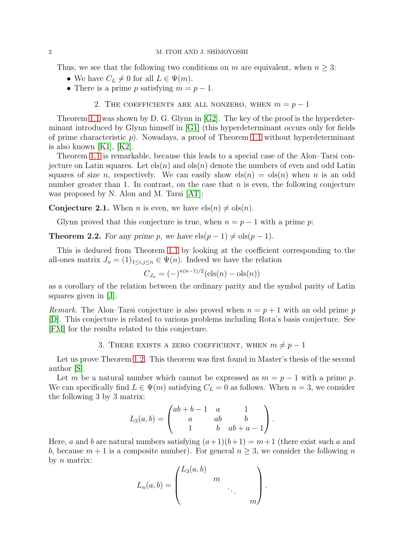Thus, we see that the following two conditions on m are equivalent, when  $n \geq 3$ :

- We have  $C_L \neq 0$  for all  $L \in \Psi(m)$ .
- There is a prime p satisfying  $m = p 1$ .

## 2. THE COEFFICIENTS ARE ALL NONZERO, WHEN  $m = p - 1$

Theorem [1.1](#page-0-0) was shown by D. G. Glynn in [\[G2\]](#page-3-0). The key of the proof is the hyperdeterminant introduced by Glynn himself in [\[G1\]](#page-3-1) (this hyperdeterminant occurs only for fields of prime characteristic  $p$ ). Nowadays, a proof of Theorem [1.1](#page-0-0) without hyperdeterminant is also known [\[K1\]](#page-3-2), [\[K2\]](#page-3-3).

Theorem [1.1](#page-0-0) is remarkable, because this leads to a special case of the Alon–Tarsi conjecture on Latin squares. Let  $els(n)$  and  $ols(n)$  denote the numbers of even and odd Latin squares of size n, respectively. We can easily show  $\operatorname{els}(n) = \operatorname{ols}(n)$  when n is an odd number greater than 1. In contrast, on the case that  $n$  is even, the following conjecture was proposed by N. Alon and M. Tarsi [\[AT\]](#page-3-4):

**Conjecture 2.1.** When *n* is even, we have  $\text{els}(n) \neq \text{ols}(n)$ .

Glynn proved that this conjecture is true, when  $n = p - 1$  with a prime p:

**Theorem 2.2.** For any prime p, we have  $els(p-1) \neq obs(p-1)$ .

This is deduced from Theorem [1.1](#page-0-0) by looking at the coefficient corresponding to the all-ones matrix  $J_n = (1)_{1 \leq i,j \leq n} \in \Psi(n)$ . Indeed we have the relation

$$
C_{J_n} = (-)^{n(n-1)/2} (\text{els}(n) - \text{ols}(n))
$$

as a corollary of the relation between the ordinary parity and the symbol parity of Latin squares given in [\[J\]](#page-3-5).

*Remark.* The Alon–Tarsi conjecture is also proved when  $n = p + 1$  with an odd prime p [\[D\]](#page-3-6). This conjecture is related to various problems including Rota's basis conjecture. See [\[FM\]](#page-3-7) for the results related to this conjecture.

# 3. THERE EXISTS A ZERO COEFFICIENT, WHEN  $m \neq p - 1$

Let us prove Theorem [1.2.](#page-0-1) This theorem was first found in Master's thesis of the second author [\[S\]](#page-3-8).

Let m be a natural number which cannot be expressed as  $m = p - 1$  with a prime p. We can specifically find  $L \in \Psi(m)$  satisfying  $C_L = 0$  as follows. When  $n = 3$ , we consider the following 3 by 3 matrix:

$$
L_3(a,b) = \begin{pmatrix} ab+b-1 & a & 1 \ a & ab & b \ 1 & b & ab+a-1 \end{pmatrix}.
$$

Here, a and b are natural numbers satisfying  $(a+1)(b+1) = m+1$  (there exist such a and b, because  $m + 1$  is a composite number). For general  $n \geq 3$ , we consider the following n by  $n$  matrix:

$$
L_n(a,b) = \begin{pmatrix} L_3(a,b) & & & \\ & m & & \\ & & \ddots & \\ & & & m \end{pmatrix}.
$$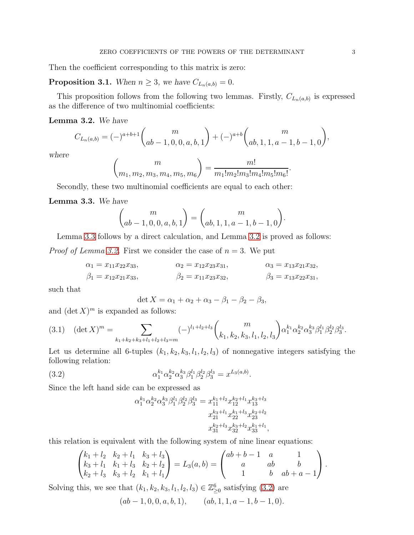Then the coefficient corresponding to this matrix is zero:

**Proposition 3.1.** When  $n \geq 3$ , we have  $C_{L_n(a,b)} = 0$ .

This proposition follows from the following two lemmas. Firstly,  $C_{L_n(a,b)}$  is expressed as the difference of two multinomial coefficients:

### <span id="page-2-1"></span>Lemma 3.2. We have

$$
C_{L_n(a,b)} = (-)^{a+b+1} \binom{m}{ab-1,0,0,a,b,1} + (-)^{a+b} \binom{m}{ab,1,1,a-1,b-1,0},
$$

where

$$
\binom{m}{m_1, m_2, m_3, m_4, m_5, m_6} = \frac{m!}{m_1! m_2! m_3! m_4! m_5! m_6!}.
$$

Secondly, these two multinomial coefficients are equal to each other:

### <span id="page-2-0"></span>Lemma 3.3. We have

$$
\binom{m}{ab-1,0,0,a,b,1} = \binom{m}{ab,1,1,a-1,b-1,0}.
$$

Lemma [3.3](#page-2-0) follows by a direct calculation, and Lemma [3.2](#page-2-1) is proved as follows: *Proof of Lemma [3.2.](#page-2-1)* First we consider the case of  $n = 3$ . We put

$$
\alpha_1 = x_{11}x_{22}x_{33}, \qquad \alpha_2 = x_{12}x_{23}x_{31}, \qquad \alpha_3 = x_{13}x_{21}x_{32}, \n\beta_1 = x_{12}x_{21}x_{33}, \qquad \beta_2 = x_{11}x_{23}x_{32}, \qquad \beta_3 = x_{13}x_{22}x_{31},
$$

such that

$$
\det X = \alpha_1 + \alpha_2 + \alpha_3 - \beta_1 - \beta_2 - \beta_3,
$$

and  $(\det X)^m$  is expanded as follows:

<span id="page-2-3"></span>
$$
(3.1) \quad (\det X)^m = \sum_{k_1+k_2+k_3+l_1+l_2+l_3=m} (-)^{l_1+l_2+l_3} \binom{m}{k_1,k_2,k_3,l_1,l_2,l_3} \alpha_1^{k_1} \alpha_2^{k_2} \alpha_3^{k_3} \beta_1^{l_1} \beta_2^{l_2} \beta_3^{l_3}.
$$

Let us determine all 6-tuples  $(k_1, k_2, k_3, l_1, l_2, l_3)$  of nonnegative integers satisfying the following relation:

(3.2) 
$$
\alpha_1^{k_1} \alpha_2^{k_2} \alpha_3^{k_3} \beta_1^{l_1} \beta_2^{l_2} \beta_3^{l_3} = x^{L_3(a,b)}.
$$

Since the left hand side can be expressed as

<span id="page-2-2"></span>
$$
\alpha_1^{k_1}\alpha_2^{k_2}\alpha_3^{k_3}\beta_1^{l_1}\beta_2^{l_2}\beta_3^{l_3}=x_{11}^{k_1+l_2}x_{12}^{k_2+l_1}x_{13}^{k_3+l_3}
$$

$$
x_{21}^{k_3+l_1}x_{22}^{k_1+l_3}x_{23}^{k_2+l_2}
$$

$$
x_{31}^{k_2+l_3}x_{32}^{k_3+l_2}x_{33}^{k_1+l_1},
$$

this relation is equivalent with the following system of nine linear equations:

$$
\begin{pmatrix} k_1 + l_2 & k_2 + l_1 & k_3 + l_3 \ k_3 + l_1 & k_1 + l_3 & k_2 + l_2 \ k_2 + l_3 & k_3 + l_2 & k_1 + l_1 \ \end{pmatrix} = L_3(a, b) = \begin{pmatrix} ab + b - 1 & a & 1 \ a & ab & b \ 1 & b & ab + a - 1 \end{pmatrix}.
$$

Solving this, we see that  $(k_1, k_2, k_3, l_1, l_2, l_3) \in \mathbb{Z}_{\geq 0}^6$  satisfying [\(3.2\)](#page-2-2) are

$$
(ab-1, 0, 0, a, b, 1),
$$
  $(ab, 1, 1, a-1, b-1, 0).$